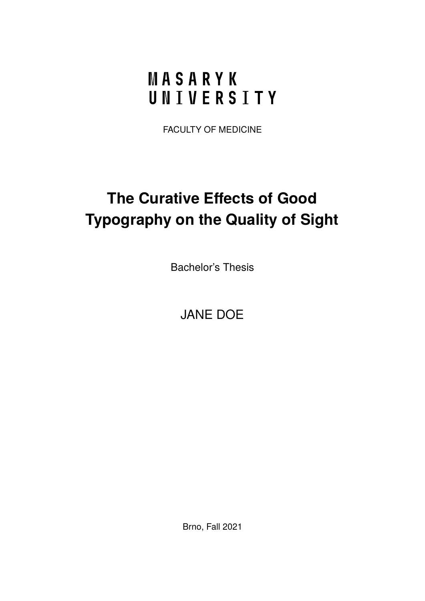# <span id="page-0-0"></span>MASARYK UNIVERSITY

FACULTY OF MEDICINE

# **The Curative Effects of Good Typography on the Quality of Sight**

Bachelor's Thesis

JANE DOE

Brno, Fall 2021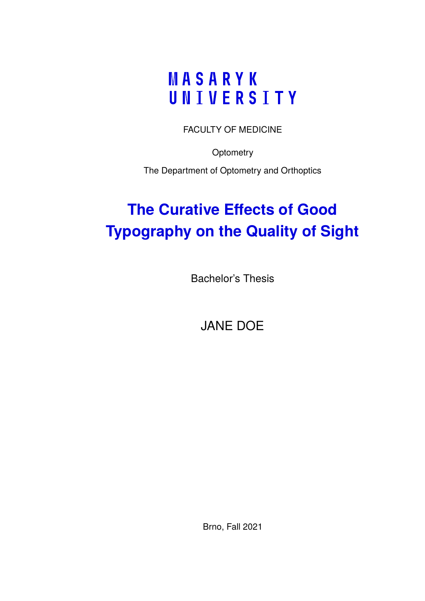# MASARYK UNIVERSITY

FACULTY OF MEDICINE

**Optometry** 

The Department of Optometry and Orthoptics

# **The Curative Effects of Good Typography on the Quality of Sight**

Bachelor's Thesis

JANE DOE

Brno, Fall 2021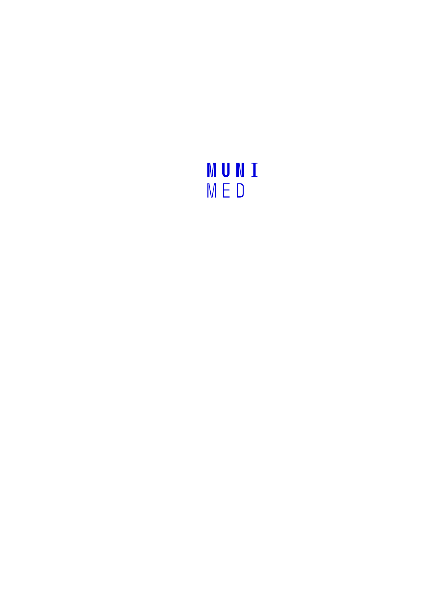# MUNI<br>MED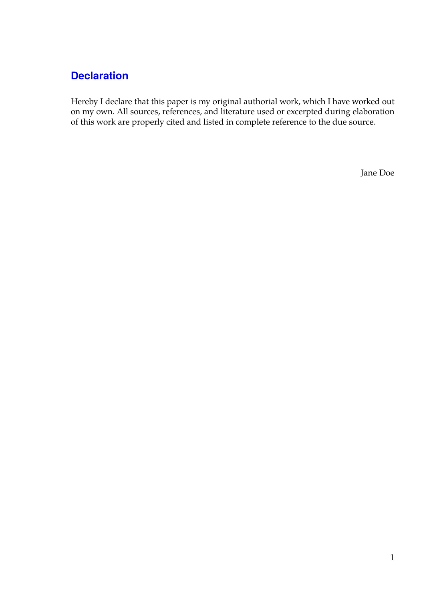#### **Declaration**

Hereby I declare that this paper is my original authorial work, which I have worked out on my own. All sources, references, and literature used or excerpted during elaboration of this work are properly cited and listed in complete reference to the due source.

Jane Doe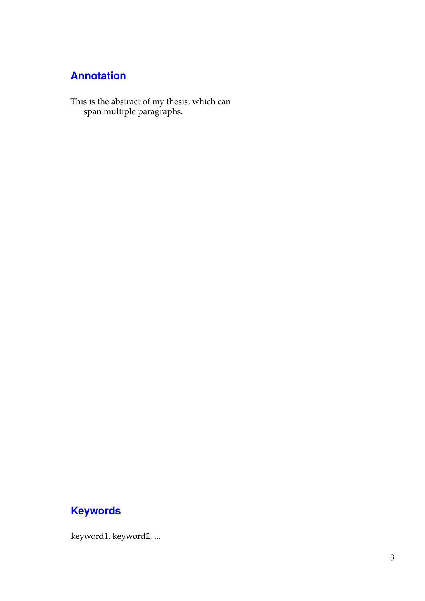## **Annotation**

This is the abstract of my thesis, which can span multiple paragraphs.

## **Keywords**

keyword1, keyword2, ...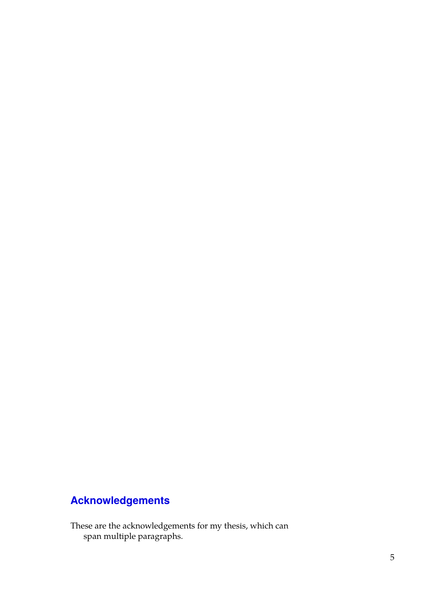# **Acknowledgements**

These are the acknowledgements for my thesis, which can span multiple paragraphs.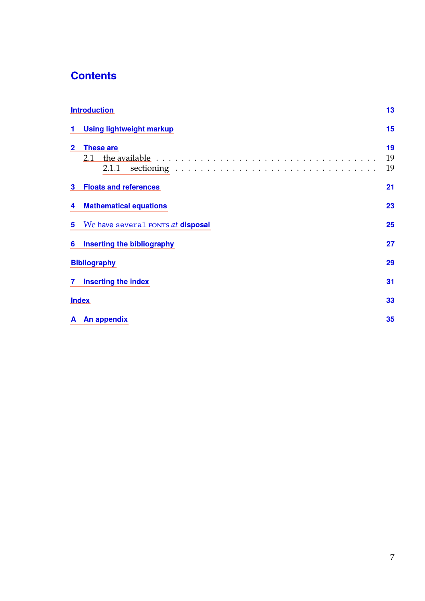## **Contents**

|                | <b>Introduction</b>                                                                                                         |                |  |  |
|----------------|-----------------------------------------------------------------------------------------------------------------------------|----------------|--|--|
| 1.             | <b>Using lightweight markup</b>                                                                                             |                |  |  |
| $\overline{2}$ | <b>These are</b><br>2.1 the available $\ldots \ldots \ldots \ldots \ldots \ldots \ldots \ldots \ldots \ldots \ldots \ldots$ | 19<br>19<br>19 |  |  |
| 3              | <b>Floats and references</b>                                                                                                |                |  |  |
| 4              | <b>Mathematical equations</b>                                                                                               |                |  |  |
| 5              | We have several FONTS at <b>disposal</b>                                                                                    |                |  |  |
| 6              | <b>Inserting the bibliography</b>                                                                                           |                |  |  |
|                | <b>Bibliography</b><br>29                                                                                                   |                |  |  |
|                | 7 Inserting the index                                                                                                       | 31             |  |  |
|                | <b>Index</b>                                                                                                                |                |  |  |
|                | A An appendix                                                                                                               | 35             |  |  |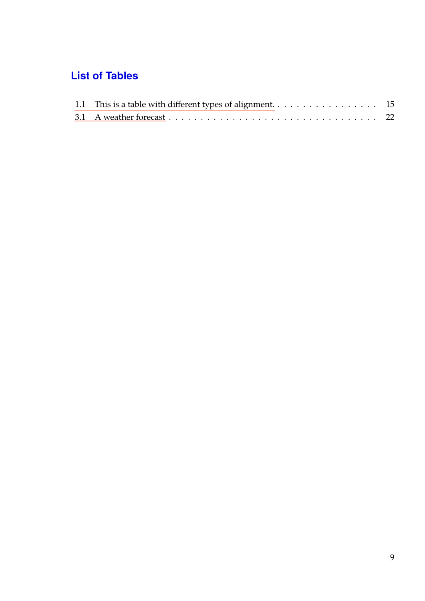## **List of Tables**

| 1.1 This is a table with different types of alignment. 15 |  |
|-----------------------------------------------------------|--|
|                                                           |  |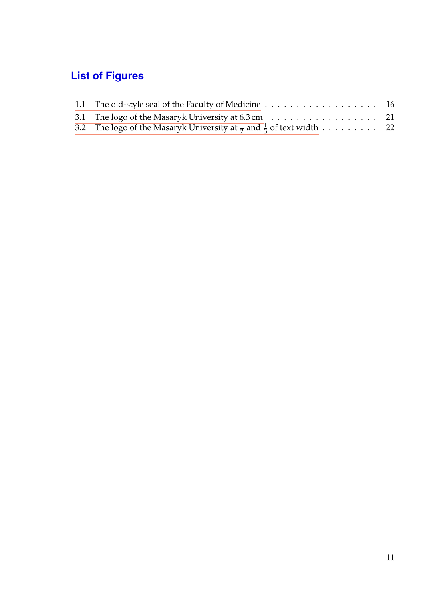# **List of Figures**

| 3.2 The logo of the Masaryk University at $\frac{1}{2}$ and $\frac{1}{3}$ of text width 22 |  |
|--------------------------------------------------------------------------------------------|--|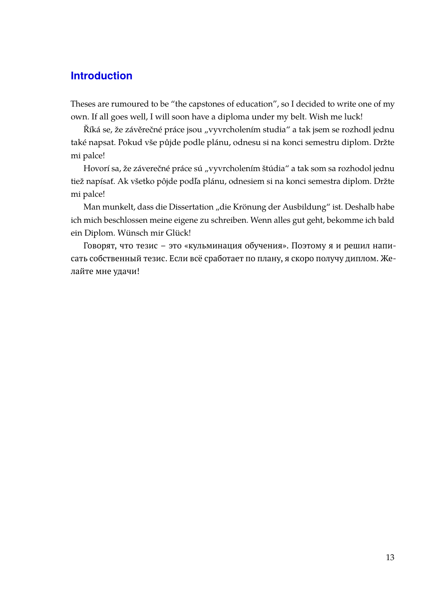#### <span id="page-18-0"></span>**Introduction**

Theses are rumoured to be "the capstones of education", so I decided to write one of my own. If all goes well, I will soon have a diploma under my belt. Wish me luck!

Říká se, že závěrečné práce jsou "vyvrcholením studia" a tak jsem se rozhodl jednu také napsat. Pokud vše půjde podle plánu, odnesu si na konci semestru diplom. Držte mi palce!

Hovorí sa, že záverečné práce sú "vyvrcholením štúdia" a tak som sa rozhodol jednu tiež napísať. Ak všetko pôjde podľa plánu, odnesiem si na konci semestra diplom. Držte mi palce!

Man munkelt, dass die Dissertation "die Krönung der Ausbildung" ist. Deshalb habe ich mich beschlossen meine eigene zu schreiben. Wenn alles gut geht, bekomme ich bald ein Diplom. Wünsch mir Glück!

Говорят, что тезис – это «кульминация обучения». Поэтому я и решил написать собственный тезис. Если всё сработает по плану, я скоро получу диплом. Желайте мне удачи!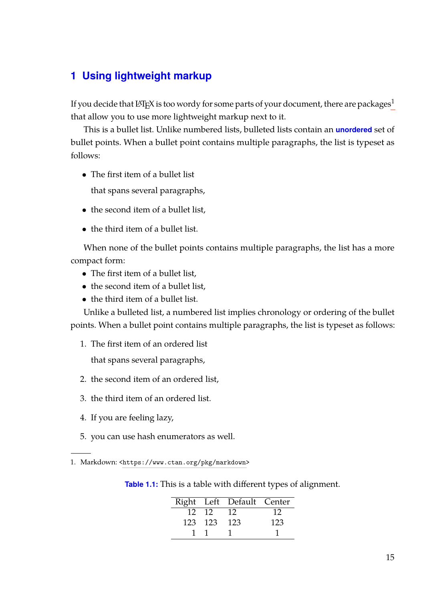#### <span id="page-20-0"></span>**1 Using lightweight markup**

If you decide that  $L^2E^X$  is too wordy for some parts of your document, there are packages<sup>[1](#page-0-0)</sup> that allow you to use more lightweight markup next to it.

This is a bullet list. Unlike numbered lists, bulleted lists contain an **unordered** set of bullet points. When a bullet point contains multiple paragraphs, the list is typeset as follows:

• The first item of a bullet list

that spans several paragraphs,

- the second item of a bullet list,
- the third item of a bullet list.

When none of the bullet points contains multiple paragraphs, the list has a more compact form:

- The first item of a bullet list,
- the second item of a bullet list.
- the third item of a bullet list.

Unlike a bulleted list, a numbered list implies chronology or ordering of the bullet points. When a bullet point contains multiple paragraphs, the list is typeset as follows:

1. The first item of an ordered list

that spans several paragraphs,

- 2. the second item of an ordered list,
- 3. the third item of an ordered list.
- 4. If you are feeling lazy,
- 5. you can use hash enumerators as well.
- <span id="page-20-1"></span>1. Markdown: [<https://www.ctan.org/pkg/markdown>](https://www.ctan.org/pkg/markdown)

| Table 1.1: This is a table with different types of alignment. |  |  |
|---------------------------------------------------------------|--|--|
|---------------------------------------------------------------|--|--|

|         | Right Left Default Center |     |
|---------|---------------------------|-----|
| 12 12   | $\overline{12}$           | 12  |
| 123 123 | - 123                     | 123 |
|         |                           |     |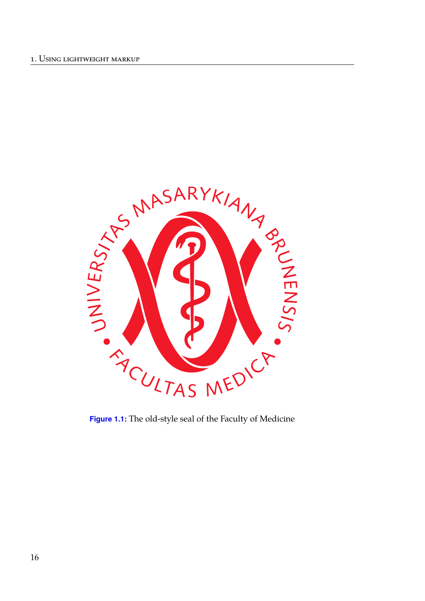<span id="page-21-0"></span>

**Figure 1.1:** The old-style seal of the Faculty of Medicine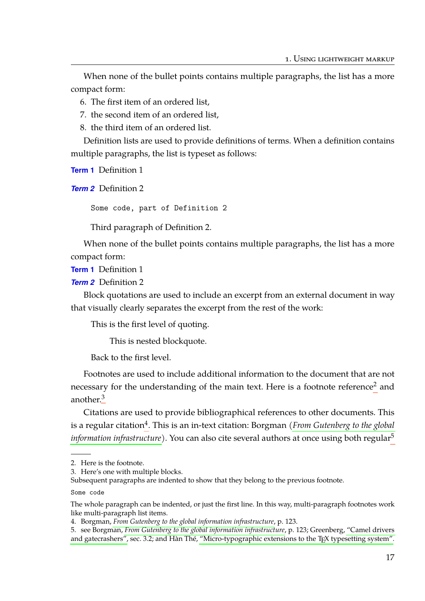When none of the bullet points contains multiple paragraphs, the list has a more compact form:

- 6. The first item of an ordered list,
- 7. the second item of an ordered list,
- 8. the third item of an ordered list.

Definition lists are used to provide definitions of terms. When a definition contains multiple paragraphs, the list is typeset as follows:

**Term 1** Definition 1

*Term 2* Definition 2

Some code, part of Definition 2

Third paragraph of Definition 2.

When none of the bullet points contains multiple paragraphs, the list has a more compact form:

**Term 1** Definition 1

*Term 2* Definition 2

Block quotations are used to include an excerpt from an external document in way that visually clearly separates the excerpt from the rest of the work:

This is the first level of quoting.

This is nested blockquote.

Back to the first level.

Footnotes are used to include additional information to the document that are not necessary for the understanding of the main text. Here is a footnote reference<sup>[2](#page-0-0)</sup> and another.<sup>[3](#page-0-0)</sup>

Citations are used to provide bibliographical references to other documents. This is a regular citation<sup>[4](#page-0-0)</sup>. This is an in-text citation: Borgman (*[From Gutenberg to the global](#page-34-1) [information infrastructure](#page-34-1)*). You can also cite several authors at once using both regular<sup>[5](#page-0-0)</sup>

<sup>2.</sup> Here is the footnote.

<sup>3.</sup> Here's one with multiple blocks.

Subsequent paragraphs are indented to show that they belong to the previous footnote.

Some code

The whole paragraph can be indented, or just the first line. In this way, multi-paragraph footnotes work like multi-paragraph list items.

<sup>4.</sup> Borgman, *[From Gutenberg to the global information infrastructure](#page-34-1)*, p. 123.

<sup>5.</sup> see Borgman, *[From Gutenberg to the global information infrastructure](#page-34-1)*, p. 123; Greenberg, ["Camel drivers](#page-34-2) [and gatecrashers",](#page-34-2) sec. 3.2; and Hàn Thé, ["Micro-typographic extensions to the TEX typesetting system".](#page-34-3)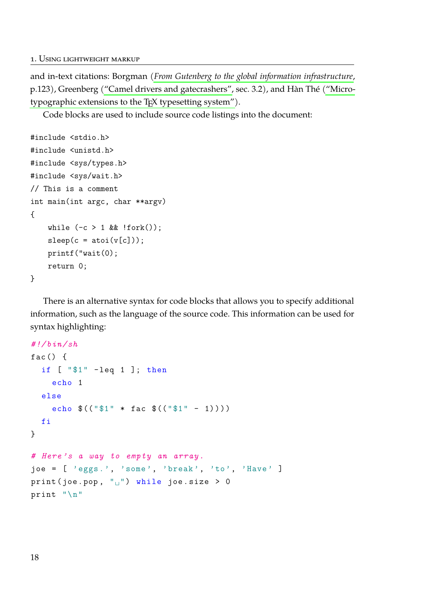and in-text citations: Borgman (*[From Gutenberg to the global information infrastructure](#page-34-1)*, p.123), Greenberg [\("Camel drivers and gatecrashers",](#page-34-2) sec. 3.2), and Hàn Thé [\("Micro](#page-34-3)[typographic extensions to the TEX typesetting system"\)](#page-34-3).

Code blocks are used to include source code listings into the document:

```
#include <stdio.h>
#include <unistd.h>
#include <sys/types.h>
#include <sys/wait.h>
// This is a comment
int main(int argc, char **argv)
{
    while (-c > 1 \& \& |fork();
    sleep(c = atoi(v[c]));
    printf("wait(0);
    return 0;
}
```
There is an alternative syntax for code blocks that allows you to specify additional information, such as the language of the source code. This information can be used for syntax highlighting:

```
#!/bin/sh
fac() fif [ "$1" -leq 1 ]; then
    echo 1
  else
    echo $(("$1" * fac $(("$1" - 1) ) ) )
  fi
}
# Here 's a way to empty an array.
joe = [ 'eggs.', 'some', 'break', 'to', 'Have' ]
print (joe.pop, "\vert") while joe.size > 0
print "\n"
```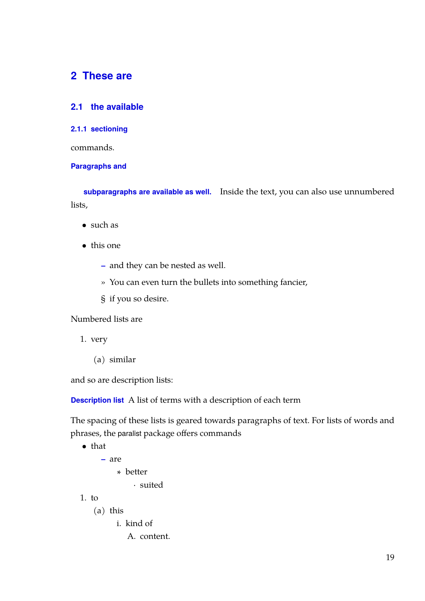#### <span id="page-24-0"></span>**2 These are**

#### <span id="page-24-1"></span>**2.1 the available**

#### <span id="page-24-2"></span>**2.1.1 sectioning**

commands.

#### **Paragraphs and**

**subparagraphs are available as well.** Inside the text, you can also use unnumbered lists,

- such as
- this one
	- **–** and they can be nested as well.
	- » You can even turn the bullets into something fancier,
	- § if you so desire.

Numbered lists are

- 1. very
	- (a) similar

and so are description lists:

**Description list** A list of terms with a description of each term

The spacing of these lists is geared towards paragraphs of text. For lists of words and phrases, the paralist package offers commands

```
• that
```

```
– are
```
∗ better

· suited

 $1.$  to

(a) this

i. kind of

A. content.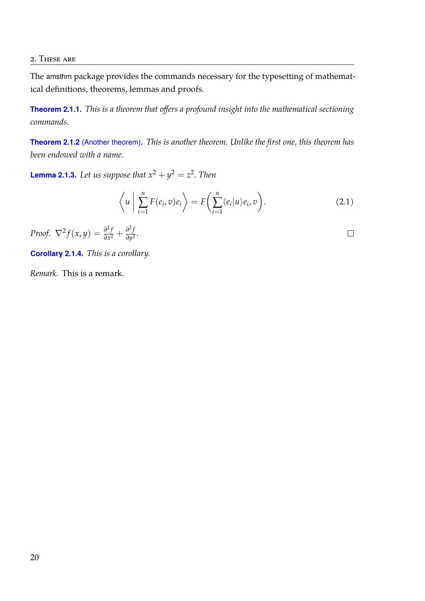#### 2. These are

The amsthm package provides the commands necessary for the typesetting of mathematical definitions, theorems, lemmas and proofs.

**Theorem 2.1.1.** *This is a theorem that offers a profound insight into the mathematical sectioning commands.*

**Theorem 2.1.2** (Another theorem)**.** *This is another theorem. Unlike the first one, this theorem has been endowed with a name.*

**Lemma 2.1.3.** Let us suppose that  $x^2 + y^2 = z^2$ . Then

$$
\left\langle u \mid \sum_{i=1}^{n} F(e_i, v) e_i \right\rangle = F\left(\sum_{i=1}^{n} \langle e_i | u \rangle e_i, v\right).
$$
 (2.1)

*Proof.* 
$$
\nabla^2 f(x, y) = \frac{\partial^2 f}{\partial x^2} + \frac{\partial^2 f}{\partial y^2}.
$$

**Corollary 2.1.4.** *This is a corollary.*

*Remark.* This is a remark.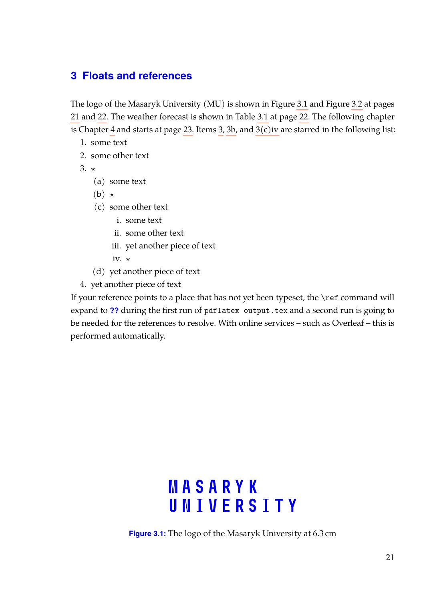#### <span id="page-26-0"></span>**3 Floats and references**

The logo of the Masaryk University (MU) is shown in Figure [3.1](#page-26-1) and Figure [3.2](#page-27-1) at pages [21](#page-26-1) and [22.](#page-27-1) The weather forecast is shown in Table [3.1](#page-27-0) at page [22.](#page-27-0) The following chapter is Chapter [4](#page-28-0) and starts at page [23.](#page-28-0) Items [3,](#page-26-2) [3b,](#page-26-3) and  $3(c)$  iv are starred in the following list:

- 1. some text
- 2. some other text
- <span id="page-26-3"></span><span id="page-26-2"></span>3.  $\star$ 
	- (a) some text
	- $(b) \star$
	- (c) some other text
		- i. some text
		- ii. some other text
		- iii. yet another piece of text
		- iv.  $\star$
	- (d) yet another piece of text
- <span id="page-26-4"></span>4. yet another piece of text

If your reference points to a place that has not yet been typeset, the \ref command will expand to **??** during the first run of pdflatex output.tex and a second run is going to be needed for the references to resolve. With online services – such as Overleaf – this is performed automatically.

# **MASARYK** UNIVERSITY

<span id="page-26-1"></span>**Figure 3.1:** The logo of the Masaryk University at 6.3 cm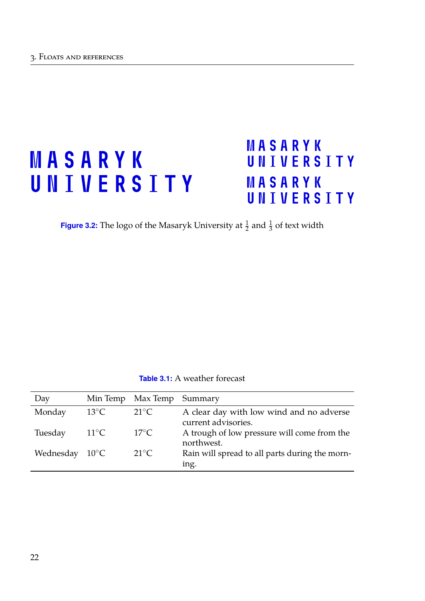# <span id="page-27-1"></span>MASARYK UNIVERSITY

# MASARYK UNIVERSITY MASARYK UNIVERSITY

**Figure 3.2:** The logo of the Masaryk University at  $\frac{1}{2}$  and  $\frac{1}{3}$  of text width

| <b>Table 3.1:</b> A weather forecast |  |
|--------------------------------------|--|
|                                      |  |

<span id="page-27-0"></span>

| Day                      |                | Min Temp Max Temp Summary |                                                                 |
|--------------------------|----------------|---------------------------|-----------------------------------------------------------------|
| Monday                   | $13^{\circ}$ C | $21^{\circ}C$             | A clear day with low wind and no adverse<br>current advisories. |
| Tuesday                  | $11^{\circ}C$  | $17^{\circ}$ C            | A trough of low pressure will come from the<br>northwest.       |
| Wednesday $10^{\circ}$ C |                | $21^{\circ}C$             | Rain will spread to all parts during the morn-<br>ing.          |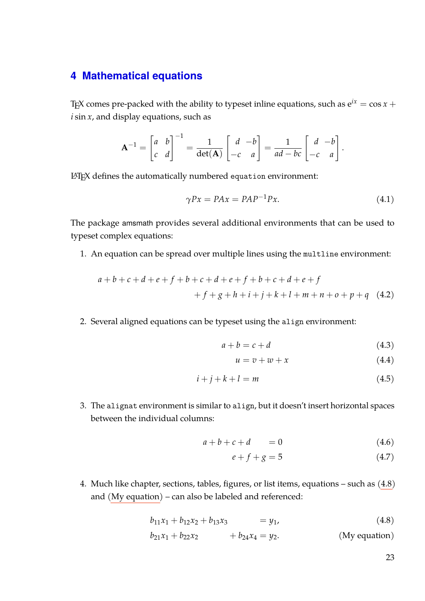#### <span id="page-28-0"></span>**4 Mathematical equations**

T<sub>E</sub>X comes pre-packed with the ability to typeset inline equations, such as  $e^{ix} = \cos x +$ *i* sin *x*, and display equations, such as

$$
\mathbf{A}^{-1} = \begin{bmatrix} a & b \\ c & d \end{bmatrix}^{-1} = \frac{1}{\det(\mathbf{A})} \begin{bmatrix} d & -b \\ -c & a \end{bmatrix} = \frac{1}{ad - bc} \begin{bmatrix} d & -b \\ -c & a \end{bmatrix}
$$

LATEX defines the automatically numbered equation environment:

$$
\gamma Px = PAx = PAP^{-1}Px. \tag{4.1}
$$

.

The package amsmath provides several additional environments that can be used to typeset complex equations:

1. An equation can be spread over multiple lines using the multline environment:

$$
a+b+c+d+e+f+b+c+d+e+f+b+c+d+e+f+f+g+h+i+j+k+l+m+n+o+p+q
$$
 (4.2)

2. Several aligned equations can be typeset using the align environment:

$$
a + b = c + d \tag{4.3}
$$

$$
u = v + w + x \tag{4.4}
$$

$$
i + j + k + l = m \tag{4.5}
$$

3. The alignat environment is similar to align, but it doesn't insert horizontal spaces between the individual columns:

$$
a+b+c+d = 0 \tag{4.6}
$$

$$
e + f + g = 5 \tag{4.7}
$$

4. Much like chapter, sections, tables, figures, or list items, equations – such as [\(4.8\)](#page-28-1) and [\(My equation\)](#page-28-2) – can also be labeled and referenced:

$$
b_{11}x_1 + b_{12}x_2 + b_{13}x_3 = y_1, \t\t(4.8)
$$

$$
b_{21}x_1 + b_{22}x_2 + b_{24}x_4 = y_2.
$$
 (My equation)

<span id="page-28-2"></span><span id="page-28-1"></span>23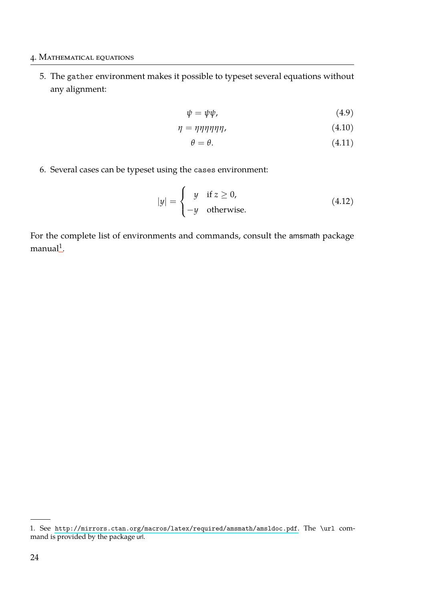#### 4. Mathematical equations

5. The gather environment makes it possible to typeset several equations without any alignment:

$$
\psi = \psi \psi,\tag{4.9}
$$

$$
\eta = \eta \eta \eta \eta \eta \eta, \tag{4.10}
$$

$$
\theta = \theta. \tag{4.11}
$$

6. Several cases can be typeset using the cases environment:

$$
|y| = \begin{cases} y & \text{if } z \ge 0, \\ -y & \text{otherwise.} \end{cases}
$$
 (4.12)

For the complete list of environments and commands, consult the amsmath package  $m$ anual $^1$  $^1$ .

<sup>1.</sup> See <http://mirrors.ctan.org/macros/latex/required/amsmath/amsldoc.pdf>. The \url command is provided by the package url.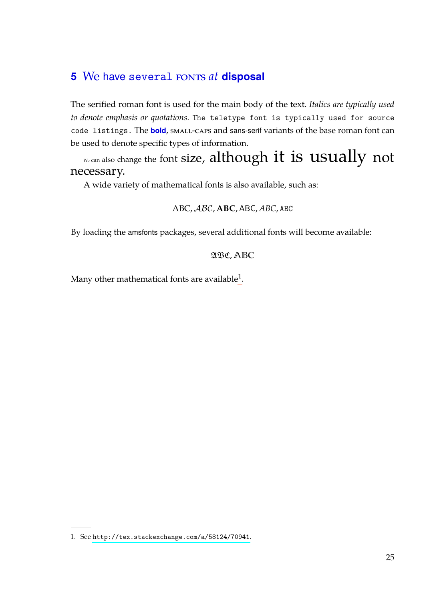## <span id="page-30-0"></span>**5** We have several FONTS at **disposal**

The serified roman font is used for the main body of the text. *Italics are typically used to denote emphasis or quotations.* The teletype font is typically used for source code listings. The **bold**, small-caps and sans-serif variants of the base roman font can be used to denote specific types of information.

 $\mathbb{R}^N$ e can also change the font size, although it is usually not necessary.

A wide variety of mathematical fonts is also available, such as:

ABC, ABC, **ABC**, ABC, *ABC*, ABC

By loading the amsfonts packages, several additional fonts will become available:

#### ABC, **ABC**

Many other mathematical fonts are available $^{\rm 1}.$  $^{\rm 1}.$  $^{\rm 1}.$ 

<sup>1.</sup> See <http://tex.stackexchange.com/a/58124/70941>.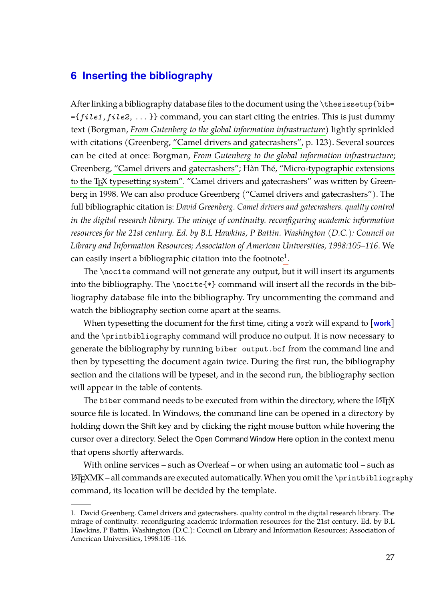#### <span id="page-32-0"></span>**6 Inserting the bibliography**

After linking a bibliography database files to the document using the \thesissetup{bib= ={*file1*,*file2*, ... }} command, you can start citing the entries. This is just dummy text (Borgman, *[From Gutenberg to the global information infrastructure](#page-34-1)*) lightly sprinkled with citations (Greenberg, ["Camel drivers and gatecrashers",](#page-34-2) p. 123). Several sources can be cited at once: Borgman, *[From Gutenberg to the global information infrastructure](#page-34-1)*; Greenberg, ["Camel drivers and gatecrashers";](#page-34-2) Hàn Thé, ["Micro-typographic extensions](#page-34-3) [to the TEX typesetting system".](#page-34-3) "Camel drivers and gatecrashers" was written by Greenberg in 1998. We can also produce Greenberg [\("Camel drivers and gatecrashers"\)](#page-34-2). The full bibliographic citation is: *David Greenberg. Camel drivers and gatecrashers. quality control in the digital research library. The mirage of continuity. reconfiguring academic information resources for the 21st century. Ed. by B.L Hawkins, P Battin. Washington (D.C.): Council on Library and Information Resources; Association of American Universities, 1998:105–116*. We can easily insert a bibliographic citation into the footnote $^{\rm 1}.$  $^{\rm 1}.$  $^{\rm 1}.$ 

The \nocite command will not generate any output, but it will insert its arguments into the bibliography. The \nocite{\*} command will insert all the records in the bibliography database file into the bibliography. Try uncommenting the command and watch the bibliography section come apart at the seams.

When typesetting the document for the first time, citing a work will expand to [**work**] and the \printbibliography command will produce no output. It is now necessary to generate the bibliography by running biber output.bcf from the command line and then by typesetting the document again twice. During the first run, the bibliography section and the citations will be typeset, and in the second run, the bibliography section will appear in the table of contents.

The biber command needs to be executed from within the directory, where the LATEX source file is located. In Windows, the command line can be opened in a directory by holding down the Shift key and by clicking the right mouse button while hovering the cursor over a directory. Select the Open Command Window Here option in the context menu that opens shortly afterwards.

With online services – such as Overleaf – or when using an automatic tool – such as L<sup>A</sup>TEXMK – all commands are executed automatically. When you omit the \printbibliography command, its location will be decided by the template.

<sup>1.</sup> David Greenberg. Camel drivers and gatecrashers. quality control in the digital research library. The mirage of continuity. reconfiguring academic information resources for the 21st century. Ed. by B.L Hawkins, P Battin. Washington (D.C.): Council on Library and Information Resources; Association of American Universities, 1998:105–116.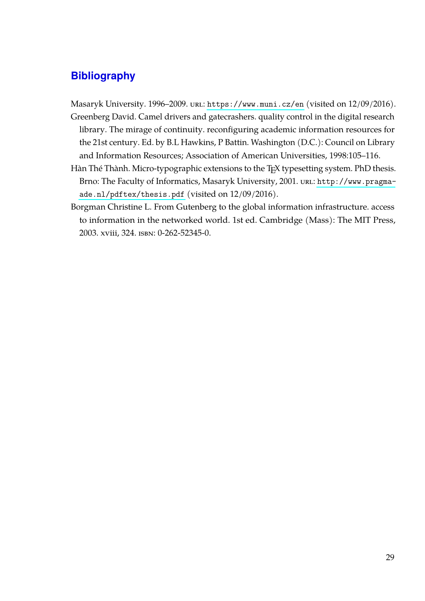#### <span id="page-34-0"></span>**Bibliography**

Masaryk University. 1996–2009. url: <https://www.muni.cz/en> (visited on 12/09/2016).

- <span id="page-34-2"></span>Greenberg David. Camel drivers and gatecrashers. quality control in the digital research library. The mirage of continuity. reconfiguring academic information resources for the 21st century. Ed. by B.L Hawkins, P Battin. Washington (D.C.): Council on Library and Information Resources; Association of American Universities, 1998:105–116.
- <span id="page-34-3"></span>Hàn Thé Thành. Micro-typographic extensions to the T<sub>E</sub>X typesetting system. PhD thesis. Brno: The Faculty of Informatics, Masaryk University, 2001. url: [http://www.pragma](http://www.pragma-ade.nl/pdftex/thesis.pdf)[ade.nl/pdftex/thesis.pdf](http://www.pragma-ade.nl/pdftex/thesis.pdf) (visited on 12/09/2016).
- <span id="page-34-1"></span>Borgman Christine L. From Gutenberg to the global information infrastructure. access to information in the networked world. 1st ed. Cambridge (Mass): The MIT Press, 2003. xviii, 324. isbn: 0-262-52345-0.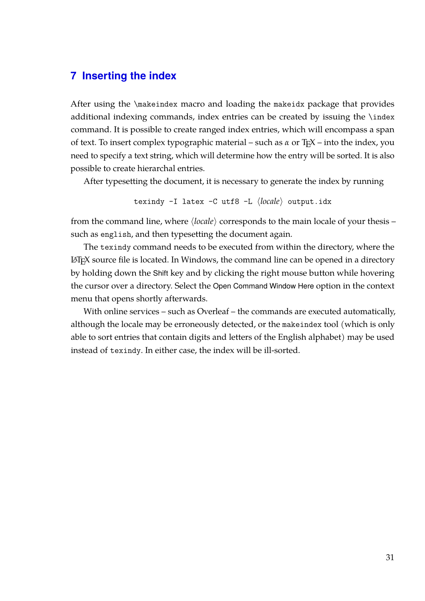#### <span id="page-36-1"></span><span id="page-36-0"></span>**7 Inserting the index**

After using the \makeindex macro and loading the makeidx package that provides additional indexing commands, index entries can be created by issuing the \index command. It is possible to create ranged index entries, which will encompass a span of text. To insert complex typographic material – such as *α* or T<sub>E</sub>X – into the index, you need to specify a text string, which will determine how the entry will be sorted. It is also possible to create hierarchal entries.

After typesetting the document, it is necessary to generate the index by running

texindy -I latex -C utf8 -L  $\langle locale \rangle$  output.idx

from the command line, where  $\langle locale \rangle$  corresponds to the main locale of your thesis – such as english, and then typesetting the document again.

The texindy command needs to be executed from within the directory, where the L<sup>A</sup>TEX source file is located. In Windows, the command line can be opened in a directory by holding down the Shift key and by clicking the right mouse button while hovering the cursor over a directory. Select the Open Command Window Here option in the context menu that opens shortly afterwards.

With online services – such as Overleaf – the commands are executed automatically, although the locale may be erroneously detected, or the makeindex tool (which is only able to sort entries that contain digits and letters of the English alphabet) may be used instead of texindy. In either case, the index will be ill-sorted.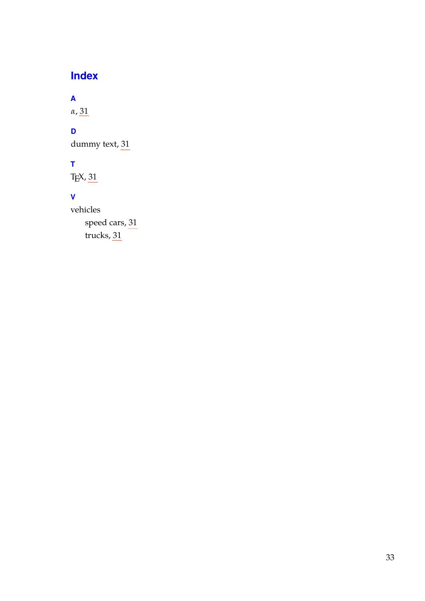## **Index**

### <span id="page-38-0"></span>**A**

*α*, [31](#page-36-1)

#### **D**

dummy text, [31](#page-36-1)

#### **T**

TEX, [31](#page-36-1)

#### **V**

vehicles speed cars, [31](#page-36-1) trucks, [31](#page-36-1)